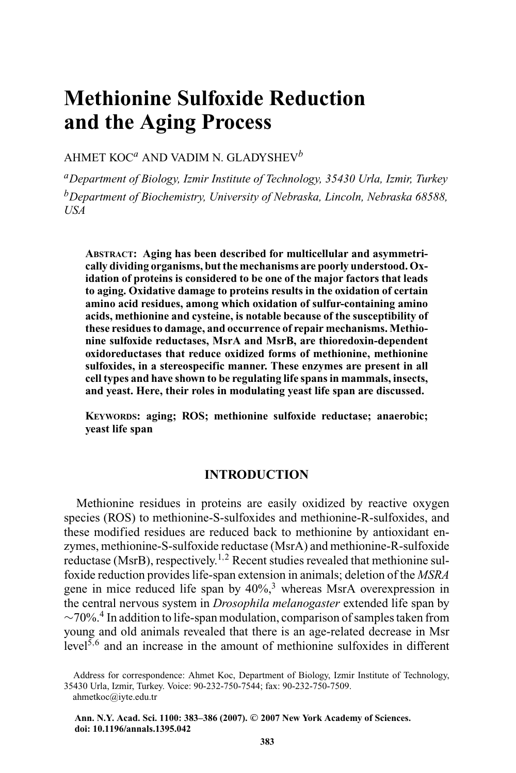# **Methionine Sulfoxide Reduction and the Aging Process**

### AHMET KOC*<sup>a</sup>* AND VADIM N. GLADYSHEV*<sup>b</sup>*

*aDepartment of Biology, Izmir Institute of Technology, 35430 Urla, Izmir, Turkey bDepartment of Biochemistry, University of Nebraska, Lincoln, Nebraska 68588, USA*

**ABSTRACT: Aging has been described for multicellular and asymmetrically dividing organisms, but the mechanisms are poorly understood. Oxidation of proteins is considered to be one of the major factors that leads to aging. Oxidative damage to proteins results in the oxidation of certain amino acid residues, among which oxidation of sulfur-containing amino acids, methionine and cysteine, is notable because of the susceptibility of these residues to damage, and occurrence of repair mechanisms. Methionine sulfoxide reductases, MsrA and MsrB, are thioredoxin-dependent oxidoreductases that reduce oxidized forms of methionine, methionine sulfoxides, in a stereospecific manner. These enzymes are present in all cell types and have shown to be regulating life spans in mammals, insects, and yeast. Here, their roles in modulating yeast life span are discussed.**

**KEYWORDS: aging; ROS; methionine sulfoxide reductase; anaerobic; yeast life span**

# **INTRODUCTION**

Methionine residues in proteins are easily oxidized by reactive oxygen species (ROS) to methionine-S-sulfoxides and methionine-R-sulfoxides, and these modified residues are reduced back to methionine by antioxidant enzymes, methionine-S-sulfoxide reductase (MsrA) and methionine-R-sulfoxide reductase (MsrB), respectively.<sup>1,2</sup> Recent studies revealed that methionine sulfoxide reduction provides life-span extension in animals; deletion of the *MSRA* gene in mice reduced life span by  $40\%$ ,<sup>3</sup> whereas MsrA overexpression in the central nervous system in *Drosophila melanogaster* extended life span by  $\sim$ 70%.<sup>4</sup> In addition to life-span modulation, comparison of samples taken from young and old animals revealed that there is an age-related decrease in Msr level<sup>5</sup>,<sup>6</sup> and an increase in the amount of methionine sulfoxides in different

Address for correspondence: Ahmet Koc, Department of Biology, Izmir Institute of Technology, 35430 Urla, Izmir, Turkey. Voice: 90-232-750-7544; fax: 90-232-750-7509.

ahmetkoc@iyte.edu.tr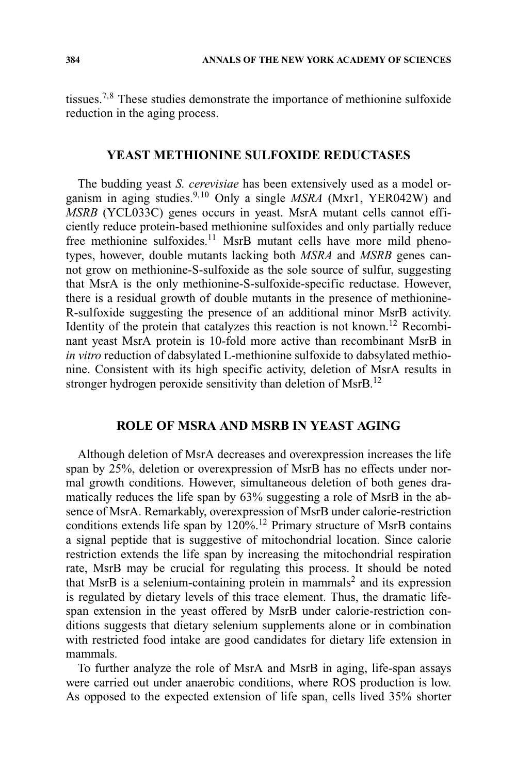tissues.7,<sup>8</sup> These studies demonstrate the importance of methionine sulfoxide reduction in the aging process.

#### **YEAST METHIONINE SULFOXIDE REDUCTASES**

The budding yeast *S. cerevisiae* has been extensively used as a model organism in aging studies.9,<sup>10</sup> Only a single *MSRA* (Mxr1, YER042W) and *MSRB* (YCL033C) genes occurs in yeast. MsrA mutant cells cannot efficiently reduce protein-based methionine sulfoxides and only partially reduce free methionine sulfoxides.<sup>11</sup> MsrB mutant cells have more mild phenotypes, however, double mutants lacking both *MSRA* and *MSRB* genes cannot grow on methionine-S-sulfoxide as the sole source of sulfur, suggesting that MsrA is the only methionine-S-sulfoxide-specific reductase. However, there is a residual growth of double mutants in the presence of methionine-R-sulfoxide suggesting the presence of an additional minor MsrB activity. Identity of the protein that catalyzes this reaction is not known.12 Recombinant yeast MsrA protein is 10-fold more active than recombinant MsrB in *in vitro* reduction of dabsylated L-methionine sulfoxide to dabsylated methionine. Consistent with its high specific activity, deletion of MsrA results in stronger hydrogen peroxide sensitivity than deletion of MsrB.<sup>12</sup>

# **ROLE OF MSRA AND MSRB IN YEAST AGING**

Although deletion of MsrA decreases and overexpression increases the life span by 25%, deletion or overexpression of MsrB has no effects under normal growth conditions. However, simultaneous deletion of both genes dramatically reduces the life span by 63% suggesting a role of MsrB in the absence of MsrA. Remarkably, overexpression of MsrB under calorie-restriction conditions extends life span by  $120\%$ .<sup>12</sup> Primary structure of MsrB contains a signal peptide that is suggestive of mitochondrial location. Since calorie restriction extends the life span by increasing the mitochondrial respiration rate, MsrB may be crucial for regulating this process. It should be noted that MsrB is a selenium-containing protein in mammals<sup>2</sup> and its expression is regulated by dietary levels of this trace element. Thus, the dramatic lifespan extension in the yeast offered by MsrB under calorie-restriction conditions suggests that dietary selenium supplements alone or in combination with restricted food intake are good candidates for dietary life extension in mammals.

To further analyze the role of MsrA and MsrB in aging, life-span assays were carried out under anaerobic conditions, where ROS production is low. As opposed to the expected extension of life span, cells lived 35% shorter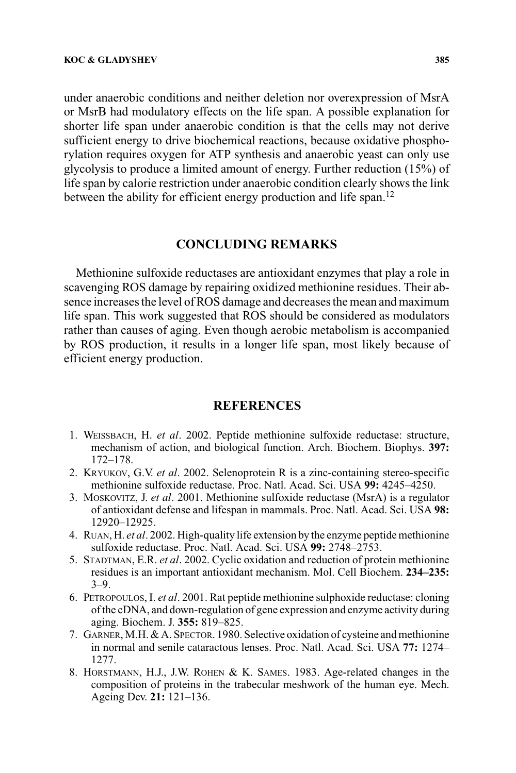under anaerobic conditions and neither deletion nor overexpression of MsrA or MsrB had modulatory effects on the life span. A possible explanation for shorter life span under anaerobic condition is that the cells may not derive sufficient energy to drive biochemical reactions, because oxidative phosphorylation requires oxygen for ATP synthesis and anaerobic yeast can only use glycolysis to produce a limited amount of energy. Further reduction (15%) of life span by calorie restriction under anaerobic condition clearly shows the link between the ability for efficient energy production and life span.<sup>12</sup>

## **CONCLUDING REMARKS**

Methionine sulfoxide reductases are antioxidant enzymes that play a role in scavenging ROS damage by repairing oxidized methionine residues. Their absence increases the level of ROS damage and decreases the mean and maximum life span. This work suggested that ROS should be considered as modulators rather than causes of aging. Even though aerobic metabolism is accompanied by ROS production, it results in a longer life span, most likely because of efficient energy production.

## **REFERENCES**

- 1. WEISSBACH, H. *et al*. 2002. Peptide methionine sulfoxide reductase: structure, mechanism of action, and biological function. Arch. Biochem. Biophys. **397:** 172–178.
- 2. KRYUKOV, G.V. *et al*. 2002. Selenoprotein R is a zinc-containing stereo-specific methionine sulfoxide reductase. Proc. Natl. Acad. Sci. USA **99:** 4245–4250.
- 3. MOSKOVITZ, J. *et al*. 2001. Methionine sulfoxide reductase (MsrA) is a regulator of antioxidant defense and lifespan in mammals. Proc. Natl. Acad. Sci. USA **98:** 12920–12925.
- 4. RUAN, H. *et al*. 2002. High-quality life extension by the enzyme peptide methionine sulfoxide reductase. Proc. Natl. Acad. Sci. USA **99:** 2748–2753.
- 5. STADTMAN, E.R. *et al*. 2002. Cyclic oxidation and reduction of protein methionine residues is an important antioxidant mechanism. Mol. Cell Biochem. **234–235:** 3–9.
- 6. PETROPOULOS, I. *et al*. 2001. Rat peptide methionine sulphoxide reductase: cloning of the cDNA, and down-regulation of gene expression and enzyme activity during aging. Biochem. J. **355:** 819–825.
- 7. GARNER, M.H. & A. SPECTOR. 1980. Selective oxidation of cysteine and methionine in normal and senile cataractous lenses. Proc. Natl. Acad. Sci. USA **77:** 1274– 1277.
- 8. HORSTMANN, H.J., J.W. ROHEN & K. SAMES. 1983. Age-related changes in the composition of proteins in the trabecular meshwork of the human eye. Mech. Ageing Dev. **21:** 121–136.